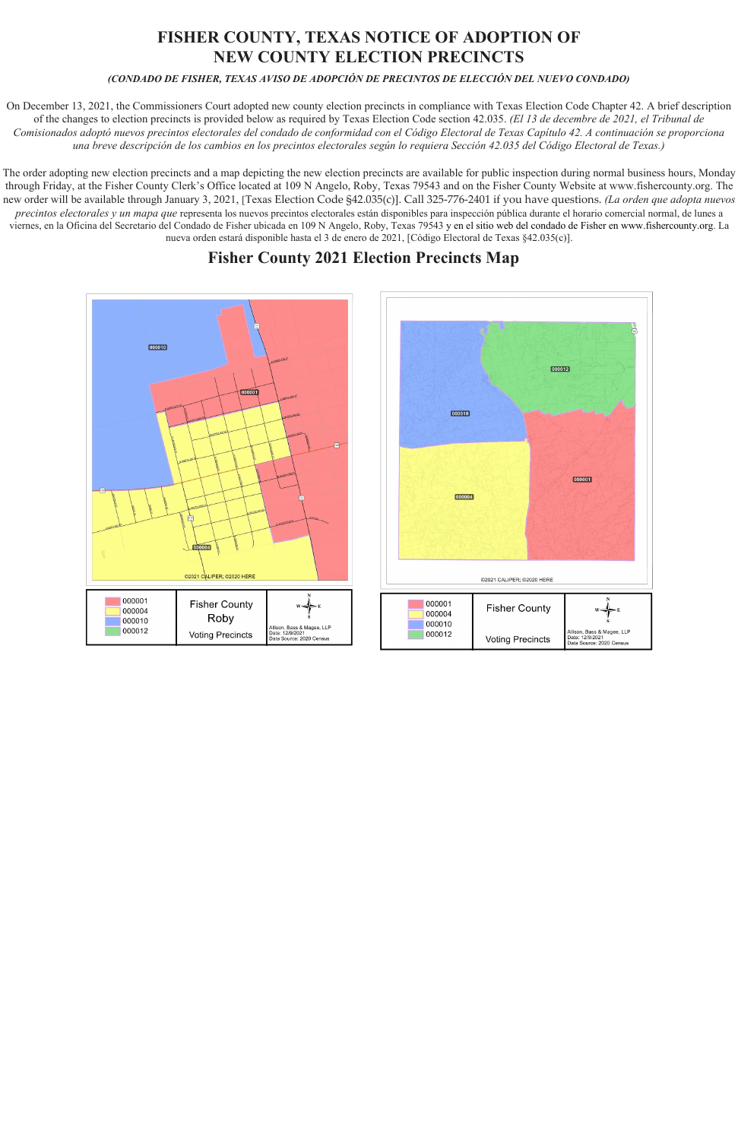## **FISHER COUNTY, TEXAS NOTICE OF ADOPTION OF NEW COUNTY ELECTION PRECINCTS**

## *(CONDADO DE FISHER, TEXAS AVISO DE ADOPCIÓN DE PRECINTOS DE ELECCIÓN DEL NUEVO CONDADO)*

On December 13, 2021, the Commissioners Court adopted new county election precincts in compliance with Texas Election Code Chapter 42. A brief description of the changes to election precincts is provided below as required by Texas Election Code section 42.035. *(El 13 de decembre de 2021, el Tribunal de Comisionados adoptó nuevos precintos electorales del condado de conformidad con el Código Electoral de Texas Capítulo 42. A continuación se proporciona una breve descripción de los cambios en los precintos electorales según lo requiera Sección 42.035 del Código Electoral de Texas.)*

The order adopting new election precincts and a map depicting the new election precincts are available for public inspection during normal business hours, Monday through Friday, at the Fisher County Clerk's Office located at 109 N Angelo, Roby, Texas 79543 and on the Fisher County Website [at www.fishercounty.org.](http://www.fishercounty.org/) The new order will be available through January 3, 2021, [Texas Election Code §42.035(c)]. Call 325-776-2401 if you have questions. *(La orden que adopta nuevos precintos electorales y un mapa que* representa los nuevos precintos electorales están disponibles para inspección pública durante el horario comercial normal, de lunes a viernes, en la Oficina del Secretario del Condado de Fisher ubicada en 109 N Angelo, Roby, Texas 79543 y en el sitio web del condado de Fisher en [www.fishercounty.org. L](http://www.fishercounty.org/)a nueva orden estará disponible hasta el 3 de enero de 2021, [Código Electoral de Texas §42.035(c)].

## **Fisher County 2021 Election Precincts Map**

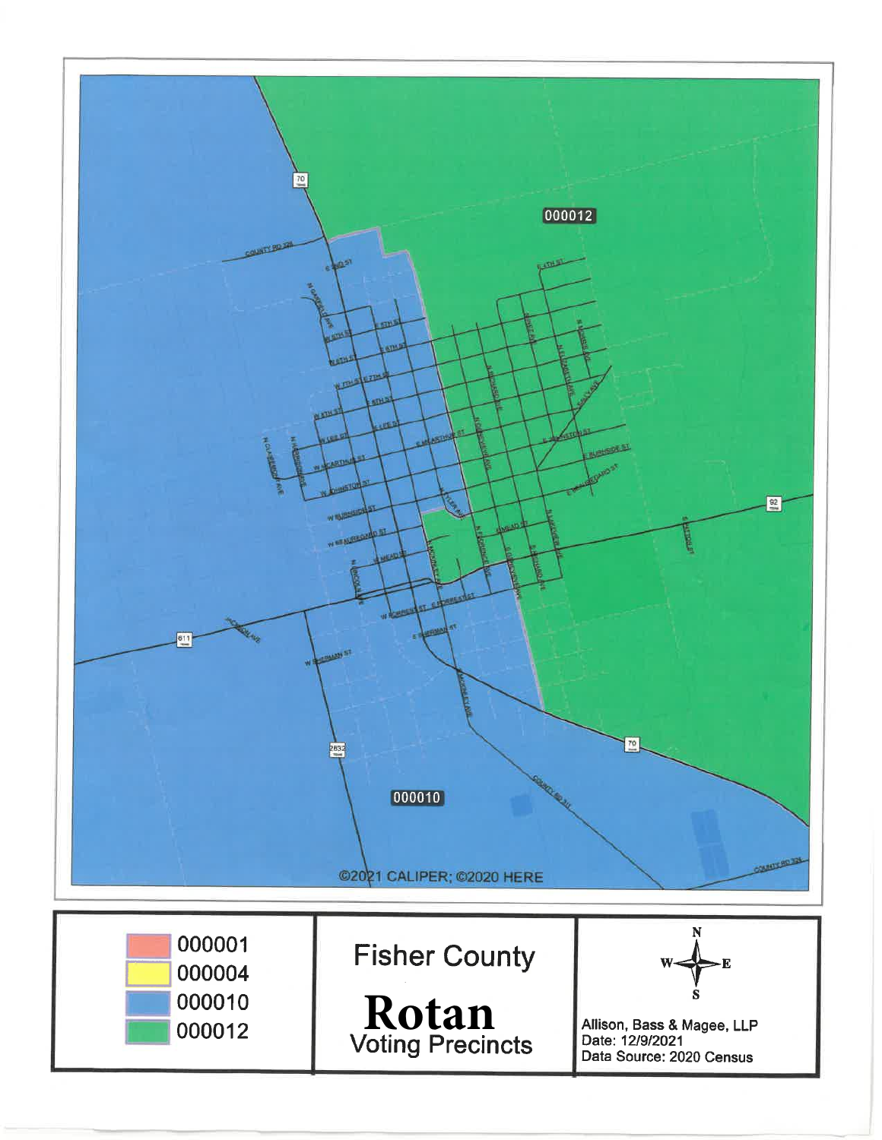